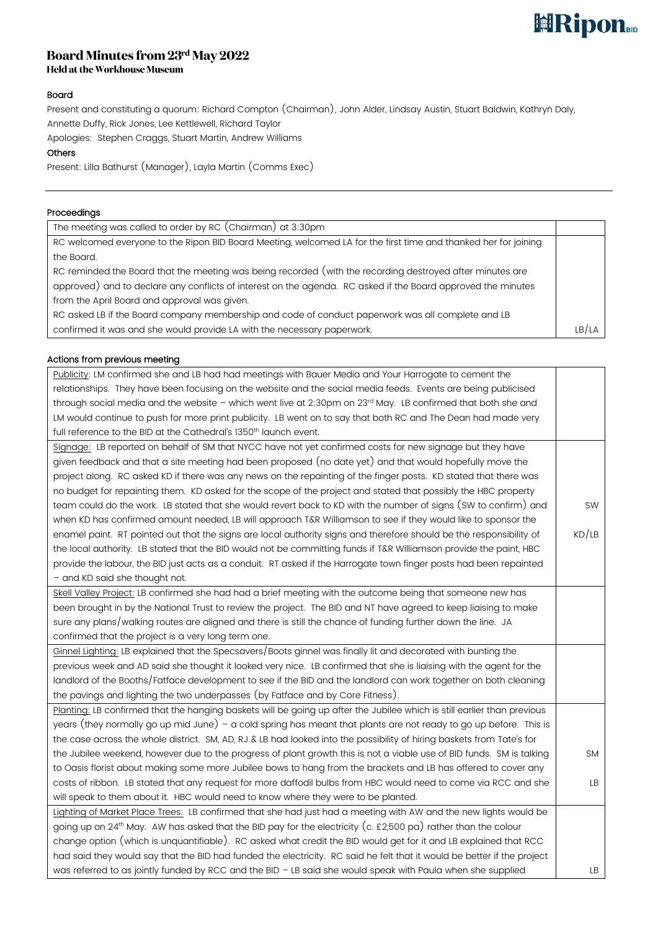# **ERipon**

# Board Minutes from  $23^{\rm rd}$  May  $2022$ <br>Held at the Workhouse Museum

## Board

Present and constituting a quorum: Richard Compton (Chairman), John Alder, Lindsay Austin, Stuart Baldwin, Kathryn Daly, Annette Duffy, Rick Jones, Lee Kettlewell, Richard Taylor

Apologies: Stephen Craggs, Stuart Martin, Andrew Williams

### **Others**

Present: Lilla Bathurst (Manager), Layla Martin (Comms Exec)

## Proceedings

| The meeting was called to order by RC (Chairman) at 3:30pm                                                      |       |
|-----------------------------------------------------------------------------------------------------------------|-------|
| RC welcomed everyone to the Ripon BID Board Meeting, welcomed LA for the first time and thanked her for joining |       |
| the Board.                                                                                                      |       |
| RC reminded the Board that the meeting was being recorded (with the recording destroyed after minutes are       |       |
| approved) and to declare any conflicts of interest on the agenda. RC asked if the Board approved the minutes    |       |
| from the April Board and approval was given.                                                                    |       |
| RC asked LB if the Board company membership and code of conduct paperwork was all complete and LB               |       |
| confirmed it was and she would provide LA with the necessary paperwork.                                         | LB/LA |

### Actions from previous meeting

| Publicity: LM confirmed she and LB had had meetings with Bauer Media and Your Harrogate to cement the                     |           |
|---------------------------------------------------------------------------------------------------------------------------|-----------|
| relationships. They have been focusing on the website and the social media feeds. Events are being publicised             |           |
| through social media and the website - which went live at 2:30pm on 23rd May. LB confirmed that both she and              |           |
| LM would continue to push for more print publicity. LB went on to say that both RC and The Dean had made very             |           |
| full reference to the BID at the Cathedral's 1350 <sup>th</sup> launch event.                                             |           |
| Signage: LB reported on behalf of SM that NYCC have not yet confirmed costs for new signage but they have                 |           |
| given feedback and that a site meeting had been proposed (no date yet) and that would hopefully move the                  |           |
| project along. RC asked KD if there was any news on the repainting of the finger posts. KD stated that there was          |           |
| no budget for repainting them. KD asked for the scope of the project and stated that possibly the HBC property            |           |
| team could do the work. LB stated that she would revert back to KD with the number of signs (SW to confirm) and           | SW        |
| when KD has confirmed amount needed, LB will approach T&R Williamson to see if they would like to sponsor the             |           |
| enamel paint. RT pointed out that the signs are local authority signs and therefore should be the responsibility of       | KD/LB     |
| the local authority. LB stated that the BID would not be committing funds if T&R Williamson provide the paint, HBC        |           |
| provide the labour, the BID just acts as a conduit. RT asked if the Harrogate town finger posts had been repainted        |           |
| - and KD said she thought not.                                                                                            |           |
| Skell Valley Project: LB confirmed she had had a brief meeting with the outcome being that someone new has                |           |
| been brought in by the National Trust to review the project. The BID and NT have agreed to keep liaising to make          |           |
| sure any plans/walking routes are aligned and there is still the chance of funding further down the line. JA              |           |
| confirmed that the project is a very long term one.                                                                       |           |
| Ginnel Lighting: LB explained that the Specsavers/Boots ginnel was finally lit and decorated with bunting the             |           |
| previous week and AD said she thought it looked very nice. LB confirmed that she is liaising with the agent for the       |           |
| landlord of the Booths/Fatface development to see if the BID and the landlord can work together on both cleaning          |           |
| the pavings and lighting the two underpasses (by Fatface and by Core Fitness).                                            |           |
| Planting: LB confirmed that the hanging baskets will be going up after the Jubilee which is still earlier than previous   |           |
| years (they normally go up mid June) - a cold spring has meant that plants are not ready to go up before. This is         |           |
| the case across the whole district. SM, AD, RJ & LB had looked into the possibility of hiring baskets from Tate's for     |           |
| the Jubilee weekend, however due to the progress of plant growth this is not a viable use of BID funds. SM is talking     | <b>SM</b> |
| to Oasis florist about making some more Jubilee bows to hang from the brackets and LB has offered to cover any            |           |
| costs of ribbon. LB stated that any request for more daffodil bulbs from HBC would need to come via RCC and she           | LB        |
| will speak to them about it. HBC would need to know where they were to be planted.                                        |           |
| Lighting of Market Place Trees: LB confirmed that she had just had a meeting with AW and the new lights would be          |           |
| going up on 24 <sup>th</sup> May. AW has asked that the BID pay for the electricity (c. £2,500 pa) rather than the colour |           |
| change option (which is unquantifiable). RC asked what credit the BID would get for it and LB explained that RCC          |           |
| had said they would say that the BID had funded the electricity. RC said he felt that it would be better if the project   |           |
| was referred to as jointly funded by RCC and the BID - LB said she would speak with Paula when she supplied               | LB.       |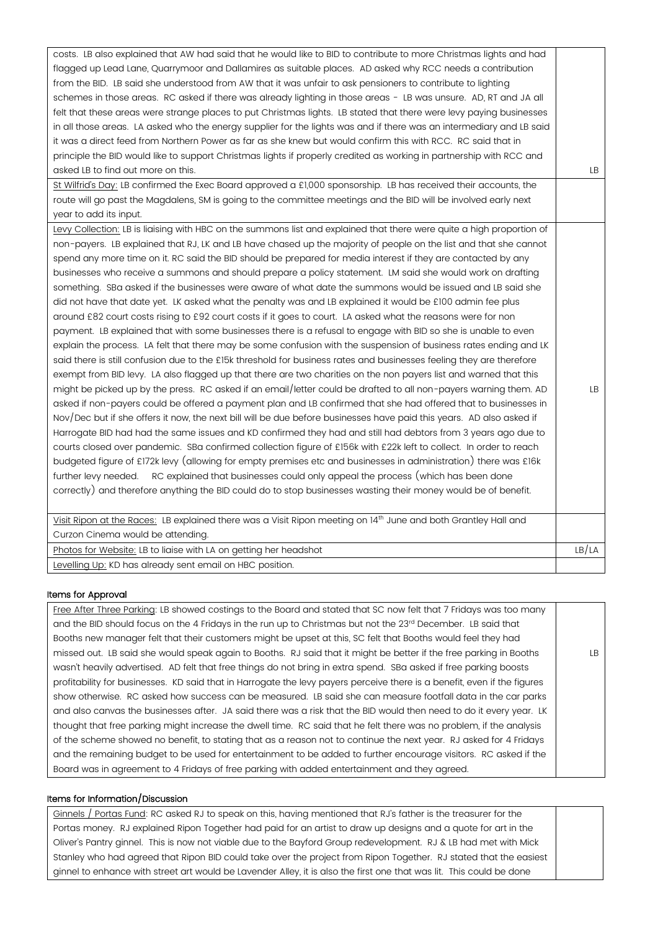| costs. LB also explained that AW had said that he would like to BID to contribute to more Christmas lights and had    |       |
|-----------------------------------------------------------------------------------------------------------------------|-------|
| flagged up Lead Lane, Quarrymoor and Dallamires as suitable places. AD asked why RCC needs a contribution             |       |
| from the BID. LB said she understood from AW that it was unfair to ask pensioners to contribute to lighting           |       |
| schemes in those areas. RC asked if there was already lighting in those areas - LB was unsure. AD, RT and JA all      |       |
| felt that these areas were strange places to put Christmas lights. LB stated that there were levy paying businesses   |       |
| in all those areas. LA asked who the energy supplier for the lights was and if there was an intermediary and LB said  |       |
| it was a direct feed from Northern Power as far as she knew but would confirm this with RCC. RC said that in          |       |
| principle the BID would like to support Christmas lights if properly credited as working in partnership with RCC and  |       |
| asked LB to find out more on this.                                                                                    | LB.   |
| St Wilfrid's Day: LB confirmed the Exec Board approved a £1,000 sponsorship. LB has received their accounts, the      |       |
| route will go past the Magdalens, SM is going to the committee meetings and the BID will be involved early next       |       |
| year to add its input.                                                                                                |       |
| Levy Collection: LB is liaising with HBC on the summons list and explained that there were quite a high proportion of |       |
| non-payers. LB explained that RJ, LK and LB have chased up the majority of people on the list and that she cannot     |       |
| spend any more time on it. RC said the BID should be prepared for media interest if they are contacted by any         |       |
| businesses who receive a summons and should prepare a policy statement. LM said she would work on drafting            |       |
| something. SBa asked if the businesses were aware of what date the summons would be issued and LB said she            |       |
| did not have that date yet. LK asked what the penalty was and LB explained it would be £100 admin fee plus            |       |
| around £82 court costs rising to £92 court costs if it goes to court. LA asked what the reasons were for non          |       |
| payment. LB explained that with some businesses there is a refusal to engage with BID so she is unable to even        |       |
| explain the process. LA felt that there may be some confusion with the suspension of business rates ending and LK     |       |
| said there is still confusion due to the £15k threshold for business rates and businesses feeling they are therefore  |       |
| exempt from BID levy. LA also flagged up that there are two charities on the non payers list and warned that this     |       |
| might be picked up by the press. RC asked if an email/letter could be drafted to all non-payers warning them. AD      | LB    |
| asked if non-payers could be offered a payment plan and LB confirmed that she had offered that to businesses in       |       |
| Nov/Dec but if she offers it now, the next bill will be due before businesses have paid this years. AD also asked if  |       |
| Harrogate BID had had the same issues and KD confirmed they had and still had debtors from 3 years ago due to         |       |
| courts closed over pandemic. SBa confirmed collection figure of £156k with £22k left to collect. In order to reach    |       |
| budgeted figure of £172k levy (allowing for empty premises etc and businesses in administration) there was £16k       |       |
| RC explained that businesses could only appeal the process (which has been done<br>further levy needed.               |       |
| correctly) and therefore anything the BID could do to stop businesses wasting their money would be of benefit.        |       |
|                                                                                                                       |       |
| Visit Ripon at the Races: LB explained there was a Visit Ripon meeting on 14th June and both Grantley Hall and        |       |
| Curzon Cinema would be attending.                                                                                     |       |
| Photos for Website: LB to liaise with LA on getting her headshot                                                      | LB/LA |
| Levelling Up: KD has already sent email on HBC position.                                                              |       |

#### Items for Approval

Free After Three Parking: LB showed costings to the Board and stated that SC now felt that 7 Fridays was too many and the BID should focus on the 4 Fridays in the run up to Christmas but not the 23rd December. LB said that Booths new manager felt that their customers might be upset at this, SC felt that Booths would feel they had missed out. LB said she would speak again to Booths. RJ said that it might be better if the free parking in Booths wasn't heavily advertised. AD felt that free things do not bring in extra spend. SBa asked if free parking boosts profitability for businesses. KD said that in Harrogate the levy payers perceive there is a benefit, even if the figures show otherwise. RC asked how success can be measured. LB said she can measure footfall data in the car parks and also canvas the businesses after. JA said there was a risk that the BID would then need to do it every year. LK thought that free parking might increase the dwell time. RC said that he felt there was no problem, if the analysis of the scheme showed no benefit, to stating that as a reason not to continue the next year. RJ asked for 4 Fridays and the remaining budget to be used for entertainment to be added to further encourage visitors. RC asked if the Board was in agreement to 4 Fridays of free parking with added entertainment and they agreed. LB

#### Items for Information/Discussion

Ginnels / Portas Fund: RC asked RJ to speak on this, having mentioned that RJ's father is the treasurer for the Portas money. RJ explained Ripon Together had paid for an artist to draw up designs and a quote for art in the Oliver's Pantry ginnel. This is now not viable due to the Bayford Group redevelopment. RJ & LB had met with Mick Stanley who had agreed that Ripon BID could take over the project from Ripon Together. RJ stated that the easiest ginnel to enhance with street art would be Lavender Alley, it is also the first one that was lit. This could be done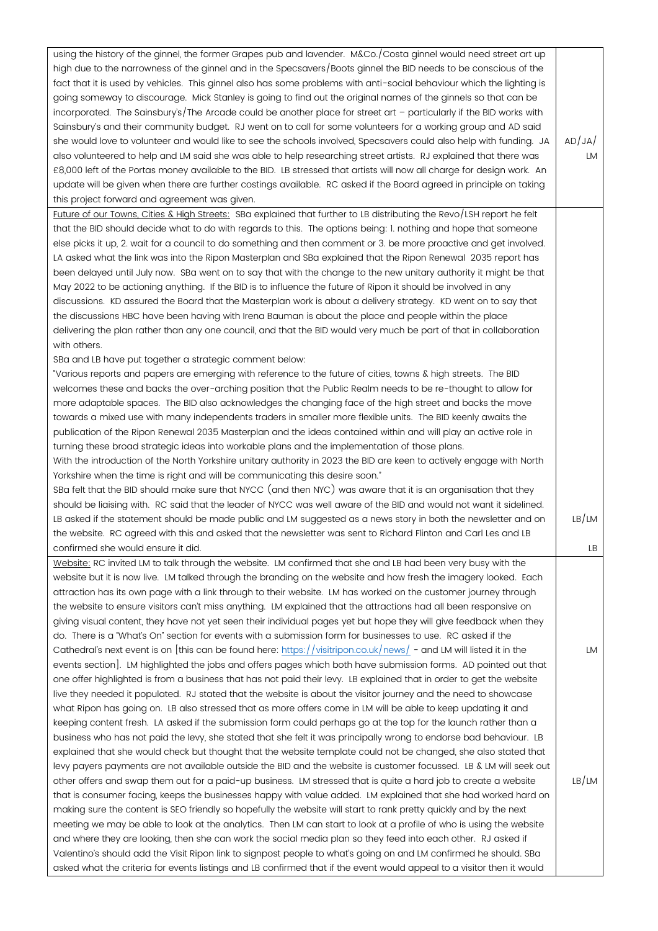| using the history of the ginnel, the former Grapes pub and lavender. M&Co./Costa ginnel would need street art up<br>high due to the narrowness of the ginnel and in the Specsavers/Boots ginnel the BID needs to be conscious of the<br>fact that it is used by vehicles. This ginnel also has some problems with anti-social behaviour which the lighting is<br>going someway to discourage. Mick Stanley is going to find out the original names of the ginnels so that can be<br>incorporated. The Sainsbury's/The Arcade could be another place for street art - particularly if the BID works with<br>Sainsbury's and their community budget. RJ went on to call for some volunteers for a working group and AD said<br>she would love to volunteer and would like to see the schools involved, Specsavers could also help with funding. JA<br>also volunteered to help and LM said she was able to help researching street artists. RJ explained that there was<br>£8,000 left of the Portas money available to the BID. LB stressed that artists will now all charge for design work. An<br>update will be given when there are further costings available. RC asked if the Board agreed in principle on taking<br>this project forward and agreement was given. | AD/JA/<br>LM |
|-------------------------------------------------------------------------------------------------------------------------------------------------------------------------------------------------------------------------------------------------------------------------------------------------------------------------------------------------------------------------------------------------------------------------------------------------------------------------------------------------------------------------------------------------------------------------------------------------------------------------------------------------------------------------------------------------------------------------------------------------------------------------------------------------------------------------------------------------------------------------------------------------------------------------------------------------------------------------------------------------------------------------------------------------------------------------------------------------------------------------------------------------------------------------------------------------------------------------------------------------------------------------|--------------|
| Future of our Towns, Cities & High Streets: SBa explained that further to LB distributing the Revo/LSH report he felt                                                                                                                                                                                                                                                                                                                                                                                                                                                                                                                                                                                                                                                                                                                                                                                                                                                                                                                                                                                                                                                                                                                                                   |              |
| that the BID should decide what to do with regards to this. The options being: I. nothing and hope that someone<br>else picks it up, 2. wait for a council to do something and then comment or 3. be more proactive and get involved.<br>LA asked what the link was into the Ripon Masterplan and SBa explained that the Ripon Renewal 2035 report has<br>been delayed until July now. SBa went on to say that with the change to the new unitary authority it might be that<br>May 2022 to be actioning anything. If the BID is to influence the future of Ripon it should be involved in any<br>discussions. KD assured the Board that the Masterplan work is about a delivery strategy. KD went on to say that<br>the discussions HBC have been having with Irena Bauman is about the place and people within the place<br>delivering the plan rather than any one council, and that the BID would very much be part of that in collaboration                                                                                                                                                                                                                                                                                                                        |              |
| with others.                                                                                                                                                                                                                                                                                                                                                                                                                                                                                                                                                                                                                                                                                                                                                                                                                                                                                                                                                                                                                                                                                                                                                                                                                                                            |              |
| SBa and LB have put together a strategic comment below:                                                                                                                                                                                                                                                                                                                                                                                                                                                                                                                                                                                                                                                                                                                                                                                                                                                                                                                                                                                                                                                                                                                                                                                                                 |              |
| "Various reports and papers are emerging with reference to the future of cities, towns & high streets. The BID<br>welcomes these and backs the over-arching position that the Public Realm needs to be re-thought to allow for<br>more adaptable spaces. The BID also acknowledges the changing face of the high street and backs the move                                                                                                                                                                                                                                                                                                                                                                                                                                                                                                                                                                                                                                                                                                                                                                                                                                                                                                                              |              |
| towards a mixed use with many independents traders in smaller more flexible units. The BID keenly awaits the<br>publication of the Ripon Renewal 2035 Masterplan and the ideas contained within and will play an active role in<br>turning these broad strategic ideas into workable plans and the implementation of those plans.                                                                                                                                                                                                                                                                                                                                                                                                                                                                                                                                                                                                                                                                                                                                                                                                                                                                                                                                       |              |
| With the introduction of the North Yorkshire unitary authority in 2023 the BID are keen to actively engage with North                                                                                                                                                                                                                                                                                                                                                                                                                                                                                                                                                                                                                                                                                                                                                                                                                                                                                                                                                                                                                                                                                                                                                   |              |
| Yorkshire when the time is right and will be communicating this desire soon."                                                                                                                                                                                                                                                                                                                                                                                                                                                                                                                                                                                                                                                                                                                                                                                                                                                                                                                                                                                                                                                                                                                                                                                           |              |
| SBa felt that the BID should make sure that NYCC (and then NYC) was aware that it is an organisation that they                                                                                                                                                                                                                                                                                                                                                                                                                                                                                                                                                                                                                                                                                                                                                                                                                                                                                                                                                                                                                                                                                                                                                          |              |
| should be liaising with. RC said that the leader of NYCC was well aware of the BID and would not want it sidelined.                                                                                                                                                                                                                                                                                                                                                                                                                                                                                                                                                                                                                                                                                                                                                                                                                                                                                                                                                                                                                                                                                                                                                     |              |
| LB asked if the statement should be made public and LM suggested as a news story in both the newsletter and on                                                                                                                                                                                                                                                                                                                                                                                                                                                                                                                                                                                                                                                                                                                                                                                                                                                                                                                                                                                                                                                                                                                                                          | LB/LM        |
| the website. RC agreed with this and asked that the newsletter was sent to Richard Flinton and Carl Les and LB                                                                                                                                                                                                                                                                                                                                                                                                                                                                                                                                                                                                                                                                                                                                                                                                                                                                                                                                                                                                                                                                                                                                                          |              |
| confirmed she would ensure it did.                                                                                                                                                                                                                                                                                                                                                                                                                                                                                                                                                                                                                                                                                                                                                                                                                                                                                                                                                                                                                                                                                                                                                                                                                                      | LB           |
| Website: RC invited LM to talk through the website. LM confirmed that she and LB had been very busy with the                                                                                                                                                                                                                                                                                                                                                                                                                                                                                                                                                                                                                                                                                                                                                                                                                                                                                                                                                                                                                                                                                                                                                            |              |
| website but it is now live. LM talked through the branding on the website and how fresh the imagery looked. Each                                                                                                                                                                                                                                                                                                                                                                                                                                                                                                                                                                                                                                                                                                                                                                                                                                                                                                                                                                                                                                                                                                                                                        |              |
| attraction has its own page with a link through to their website. LM has worked on the customer journey through                                                                                                                                                                                                                                                                                                                                                                                                                                                                                                                                                                                                                                                                                                                                                                                                                                                                                                                                                                                                                                                                                                                                                         |              |
| the website to ensure visitors can't miss anything. LM explained that the attractions had all been responsive on                                                                                                                                                                                                                                                                                                                                                                                                                                                                                                                                                                                                                                                                                                                                                                                                                                                                                                                                                                                                                                                                                                                                                        |              |
| giving visual content, they have not yet seen their individual pages yet but hope they will give feedback when they                                                                                                                                                                                                                                                                                                                                                                                                                                                                                                                                                                                                                                                                                                                                                                                                                                                                                                                                                                                                                                                                                                                                                     |              |
| do. There is a "What's On" section for events with a submission form for businesses to use. RC asked if the                                                                                                                                                                                                                                                                                                                                                                                                                                                                                                                                                                                                                                                                                                                                                                                                                                                                                                                                                                                                                                                                                                                                                             |              |
| Cathedral's next event is on [this can be found here: https://visitripon.co.uk/news/ - and LM will listed it in the                                                                                                                                                                                                                                                                                                                                                                                                                                                                                                                                                                                                                                                                                                                                                                                                                                                                                                                                                                                                                                                                                                                                                     | LM           |
| events section]. LM highlighted the jobs and offers pages which both have submission forms. AD pointed out that                                                                                                                                                                                                                                                                                                                                                                                                                                                                                                                                                                                                                                                                                                                                                                                                                                                                                                                                                                                                                                                                                                                                                         |              |
| one offer highlighted is from a business that has not paid their levy. LB explained that in order to get the website                                                                                                                                                                                                                                                                                                                                                                                                                                                                                                                                                                                                                                                                                                                                                                                                                                                                                                                                                                                                                                                                                                                                                    |              |
| live they needed it populated. RJ stated that the website is about the visitor journey and the need to showcase<br>what Ripon has going on. LB also stressed that as more offers come in LM will be able to keep updating it and                                                                                                                                                                                                                                                                                                                                                                                                                                                                                                                                                                                                                                                                                                                                                                                                                                                                                                                                                                                                                                        |              |
| keeping content fresh. LA asked if the submission form could perhaps go at the top for the launch rather than a                                                                                                                                                                                                                                                                                                                                                                                                                                                                                                                                                                                                                                                                                                                                                                                                                                                                                                                                                                                                                                                                                                                                                         |              |
| business who has not paid the levy, she stated that she felt it was principally wrong to endorse bad behaviour. LB                                                                                                                                                                                                                                                                                                                                                                                                                                                                                                                                                                                                                                                                                                                                                                                                                                                                                                                                                                                                                                                                                                                                                      |              |
| explained that she would check but thought that the website template could not be changed, she also stated that                                                                                                                                                                                                                                                                                                                                                                                                                                                                                                                                                                                                                                                                                                                                                                                                                                                                                                                                                                                                                                                                                                                                                         |              |
| levy payers payments are not available outside the BID and the website is customer focussed. LB & LM will seek out                                                                                                                                                                                                                                                                                                                                                                                                                                                                                                                                                                                                                                                                                                                                                                                                                                                                                                                                                                                                                                                                                                                                                      |              |
| other offers and swap them out for a paid-up business. LM stressed that is quite a hard job to create a website                                                                                                                                                                                                                                                                                                                                                                                                                                                                                                                                                                                                                                                                                                                                                                                                                                                                                                                                                                                                                                                                                                                                                         | LB/LM        |
| that is consumer facing, keeps the businesses happy with value added. LM explained that she had worked hard on                                                                                                                                                                                                                                                                                                                                                                                                                                                                                                                                                                                                                                                                                                                                                                                                                                                                                                                                                                                                                                                                                                                                                          |              |
| making sure the content is SEO friendly so hopefully the website will start to rank pretty quickly and by the next                                                                                                                                                                                                                                                                                                                                                                                                                                                                                                                                                                                                                                                                                                                                                                                                                                                                                                                                                                                                                                                                                                                                                      |              |
| meeting we may be able to look at the analytics. Then LM can start to look at a profile of who is using the website                                                                                                                                                                                                                                                                                                                                                                                                                                                                                                                                                                                                                                                                                                                                                                                                                                                                                                                                                                                                                                                                                                                                                     |              |
| and where they are looking, then she can work the social media plan so they feed into each other. RJ asked if                                                                                                                                                                                                                                                                                                                                                                                                                                                                                                                                                                                                                                                                                                                                                                                                                                                                                                                                                                                                                                                                                                                                                           |              |
| Valentino's should add the Visit Ripon link to signpost people to what's going on and LM confirmed he should. SBa                                                                                                                                                                                                                                                                                                                                                                                                                                                                                                                                                                                                                                                                                                                                                                                                                                                                                                                                                                                                                                                                                                                                                       |              |
| asked what the criteria for events listings and LB confirmed that if the event would appeal to a visitor then it would                                                                                                                                                                                                                                                                                                                                                                                                                                                                                                                                                                                                                                                                                                                                                                                                                                                                                                                                                                                                                                                                                                                                                  |              |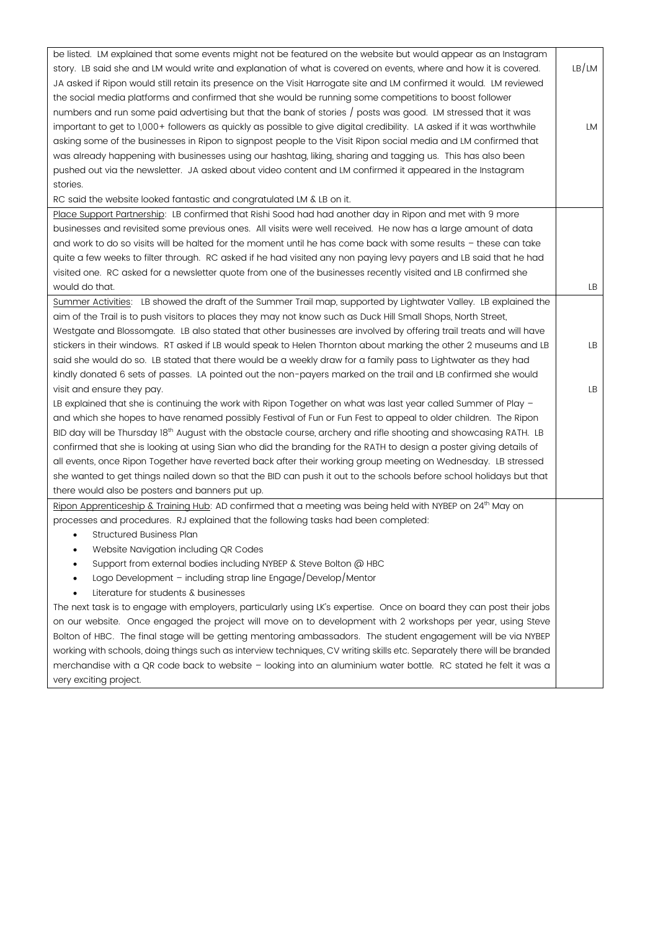| be listed. LM explained that some events might not be featured on the website but would appear as an Instagram           |       |
|--------------------------------------------------------------------------------------------------------------------------|-------|
| story. LB said she and LM would write and explanation of what is covered on events, where and how it is covered.         | LB/LM |
| JA asked if Ripon would still retain its presence on the Visit Harrogate site and LM confirmed it would. LM reviewed     |       |
| the social media platforms and confirmed that she would be running some competitions to boost follower                   |       |
| numbers and run some paid advertising but that the bank of stories / posts was good. LM stressed that it was             |       |
| important to get to 1,000+ followers as quickly as possible to give digital credibility. LA asked if it was worthwhile   | LM    |
| asking some of the businesses in Ripon to signpost people to the Visit Ripon social media and LM confirmed that          |       |
| was already happening with businesses using our hashtag, liking, sharing and tagging us. This has also been              |       |
| pushed out via the newsletter. JA asked about video content and LM confirmed it appeared in the Instagram                |       |
| stories.                                                                                                                 |       |
| RC said the website looked fantastic and congratulated LM & LB on it.                                                    |       |
| Place Support Partnership: LB confirmed that Rishi Sood had had another day in Ripon and met with 9 more                 |       |
| businesses and revisited some previous ones. All visits were well received. He now has a large amount of data            |       |
| and work to do so visits will be halted for the moment until he has come back with some results - these can take         |       |
| quite a few weeks to filter through. RC asked if he had visited any non paying levy payers and LB said that he had       |       |
| visited one. RC asked for a newsletter quote from one of the businesses recently visited and LB confirmed she            |       |
| would do that.                                                                                                           | LB    |
| Summer Activities: LB showed the draft of the Summer Trail map, supported by Lightwater Valley. LB explained the         |       |
| aim of the Trail is to push visitors to places they may not know such as Duck Hill Small Shops, North Street,            |       |
| Westgate and Blossomgate. LB also stated that other businesses are involved by offering trail treats and will have       |       |
| stickers in their windows. RT asked if LB would speak to Helen Thornton about marking the other 2 museums and LB         | LB    |
| said she would do so. LB stated that there would be a weekly draw for a family pass to Lightwater as they had            |       |
| kindly donated 6 sets of passes. LA pointed out the non-payers marked on the trail and LB confirmed she would            |       |
| visit and ensure they pay.                                                                                               | LB    |
| LB explained that she is continuing the work with Ripon Together on what was last year called Summer of Play -           |       |
| and which she hopes to have renamed possibly Festival of Fun or Fun Fest to appeal to older children. The Ripon          |       |
| BID day will be Thursday 18th August with the obstacle course, archery and rifle shooting and showcasing RATH. LB        |       |
| confirmed that she is looking at using Sian who did the branding for the RATH to design a poster giving details of       |       |
| all events, once Ripon Together have reverted back after their working group meeting on Wednesday. LB stressed           |       |
| she wanted to get things nailed down so that the BID can push it out to the schools before school holidays but that      |       |
| there would also be posters and banners put up.                                                                          |       |
| Ripon Apprenticeship & Training Hub: AD confirmed that a meeting was being held with NYBEP on 24 <sup>th</sup> May on    |       |
| processes and procedures. RJ explained that the following tasks had been completed:                                      |       |
| <b>Structured Business Plan</b><br>$\bullet$                                                                             |       |
| Website Navigation including QR Codes<br>٠                                                                               |       |
| Support from external bodies including NYBEP & Steve Bolton @ HBC<br>٠                                                   |       |
| Logo Development - including strap line Engage/Develop/Mentor<br>٠                                                       |       |
| Literature for students & businesses<br>٠                                                                                |       |
| The next task is to engage with employers, particularly using LK's expertise. Once on board they can post their jobs     |       |
| on our website. Once engaged the project will move on to development with 2 workshops per year, using Steve              |       |
| Bolton of HBC. The final stage will be getting mentoring ambassadors. The student engagement will be via NYBEP           |       |
| working with schools, doing things such as interview techniques, CV writing skills etc. Separately there will be branded |       |
| merchandise with a QR code back to website - looking into an aluminium water bottle. RC stated he felt it was a          |       |
| very exciting project.                                                                                                   |       |